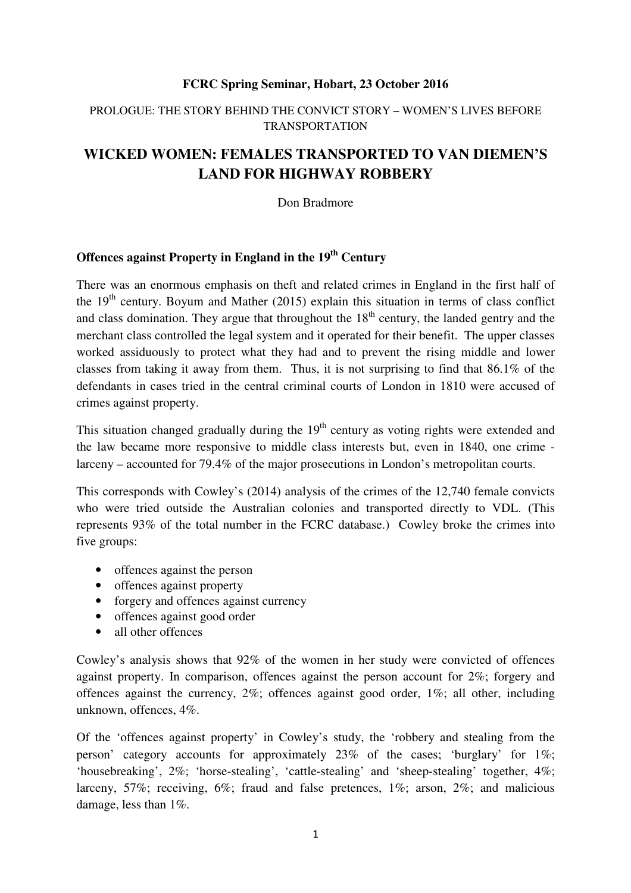### **FCRC Spring Seminar, Hobart, 23 October 2016**

### PROLOGUE: THE STORY BEHIND THE CONVICT STORY – WOMEN'S LIVES BEFORE TRANSPORTATION

# **WICKED WOMEN: FEMALES TRANSPORTED TO VAN DIEMEN'S LAND FOR HIGHWAY ROBBERY**

Don Bradmore

### **Offences against Property in England in the 19th Century**

There was an enormous emphasis on theft and related crimes in England in the first half of the  $19<sup>th</sup>$  century. Boyum and Mather (2015) explain this situation in terms of class conflict and class domination. They argue that throughout the  $18<sup>th</sup>$  century, the landed gentry and the merchant class controlled the legal system and it operated for their benefit. The upper classes worked assiduously to protect what they had and to prevent the rising middle and lower classes from taking it away from them. Thus, it is not surprising to find that 86.1% of the defendants in cases tried in the central criminal courts of London in 1810 were accused of crimes against property.

This situation changed gradually during the  $19<sup>th</sup>$  century as voting rights were extended and the law became more responsive to middle class interests but, even in 1840, one crime larceny – accounted for 79.4% of the major prosecutions in London's metropolitan courts.

This corresponds with Cowley's (2014) analysis of the crimes of the 12,740 female convicts who were tried outside the Australian colonies and transported directly to VDL. (This represents 93% of the total number in the FCRC database.) Cowley broke the crimes into five groups:

- offences against the person
- offences against property
- forgery and offences against currency
- offences against good order
- all other offences

Cowley's analysis shows that 92% of the women in her study were convicted of offences against property. In comparison, offences against the person account for 2%; forgery and offences against the currency, 2%; offences against good order, 1%; all other, including unknown, offences, 4%.

Of the 'offences against property' in Cowley's study, the 'robbery and stealing from the person' category accounts for approximately 23% of the cases; 'burglary' for 1%; 'housebreaking', 2%; 'horse-stealing', 'cattle-stealing' and 'sheep-stealing' together, 4%; larceny, 57%; receiving, 6%; fraud and false pretences, 1%; arson, 2%; and malicious damage, less than 1%.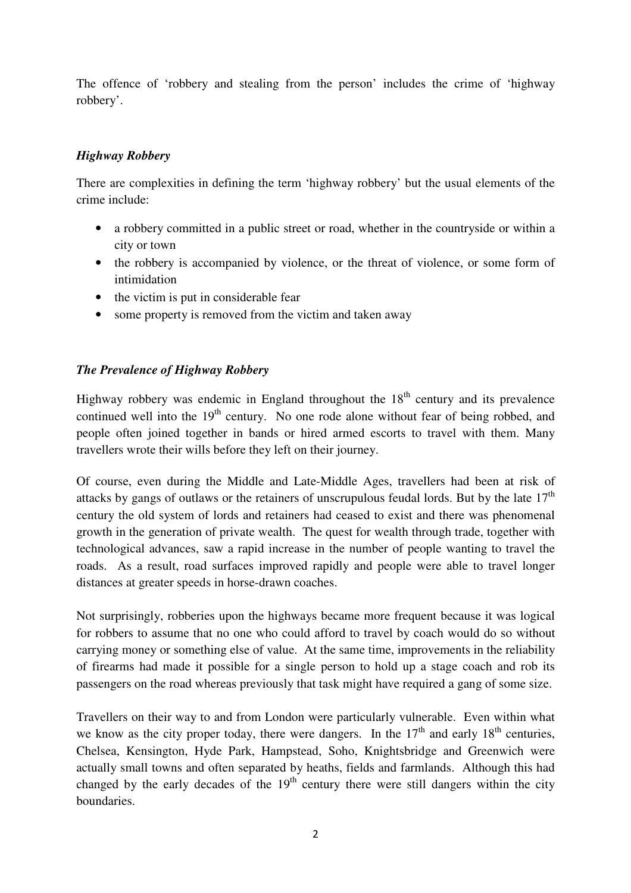The offence of 'robbery and stealing from the person' includes the crime of 'highway robbery'.

## *Highway Robbery*

There are complexities in defining the term 'highway robbery' but the usual elements of the crime include:

- a robbery committed in a public street or road, whether in the countryside or within a city or town
- the robbery is accompanied by violence, or the threat of violence, or some form of intimidation
- the victim is put in considerable fear
- some property is removed from the victim and taken away

## *The Prevalence of Highway Robbery*

Highway robbery was endemic in England throughout the  $18<sup>th</sup>$  century and its prevalence continued well into the  $19<sup>th</sup>$  century. No one rode alone without fear of being robbed, and people often joined together in bands or hired armed escorts to travel with them. Many travellers wrote their wills before they left on their journey.

Of course, even during the Middle and Late-Middle Ages, travellers had been at risk of attacks by gangs of outlaws or the retainers of unscrupulous feudal lords. But by the late  $17<sup>th</sup>$ century the old system of lords and retainers had ceased to exist and there was phenomenal growth in the generation of private wealth. The quest for wealth through trade, together with technological advances, saw a rapid increase in the number of people wanting to travel the roads. As a result, road surfaces improved rapidly and people were able to travel longer distances at greater speeds in horse-drawn coaches.

Not surprisingly, robberies upon the highways became more frequent because it was logical for robbers to assume that no one who could afford to travel by coach would do so without carrying money or something else of value. At the same time, improvements in the reliability of firearms had made it possible for a single person to hold up a stage coach and rob its passengers on the road whereas previously that task might have required a gang of some size.

Travellers on their way to and from London were particularly vulnerable. Even within what we know as the city proper today, there were dangers. In the  $17<sup>th</sup>$  and early  $18<sup>th</sup>$  centuries, Chelsea, Kensington, Hyde Park, Hampstead, Soho, Knightsbridge and Greenwich were actually small towns and often separated by heaths, fields and farmlands. Although this had changed by the early decades of the  $19<sup>th</sup>$  century there were still dangers within the city boundaries.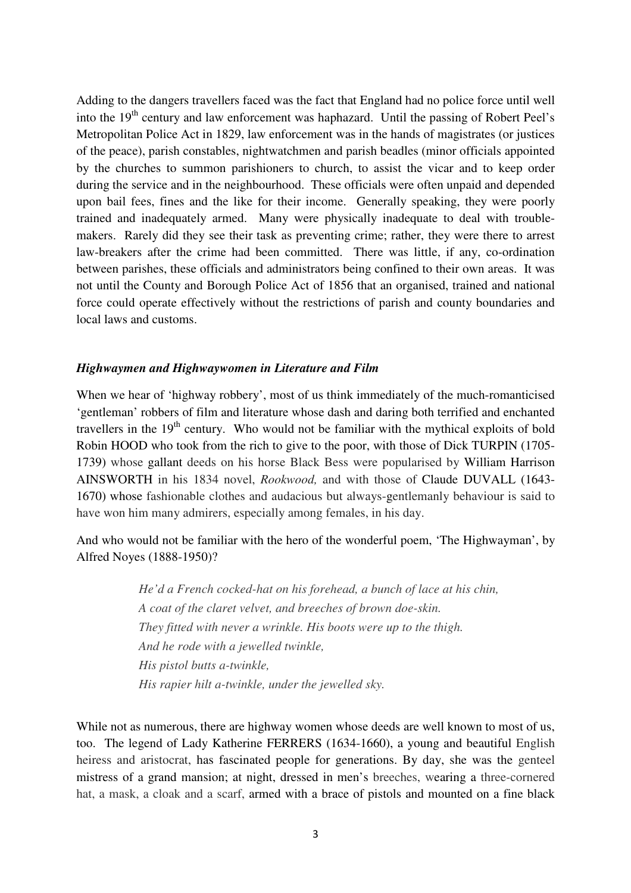Adding to the dangers travellers faced was the fact that England had no police force until well into the  $19<sup>th</sup>$  century and law enforcement was haphazard. Until the passing of Robert Peel's Metropolitan Police Act in 1829, law enforcement was in the hands of magistrates (or justices of the peace), parish constables, nightwatchmen and parish beadles (minor officials appointed by the churches to summon parishioners to church, to assist the vicar and to keep order during the service and in the neighbourhood. These officials were often unpaid and depended upon bail fees, fines and the like for their income. Generally speaking, they were poorly trained and inadequately armed. Many were physically inadequate to deal with troublemakers. Rarely did they see their task as preventing crime; rather, they were there to arrest law-breakers after the crime had been committed. There was little, if any, co-ordination between parishes, these officials and administrators being confined to their own areas. It was not until the County and Borough Police Act of 1856 that an organised, trained and national force could operate effectively without the restrictions of parish and county boundaries and local laws and customs.

### *Highwaymen and Highwaywomen in Literature and Film*

When we hear of 'highway robbery', most of us think immediately of the much-romanticised 'gentleman' robbers of film and literature whose dash and daring both terrified and enchanted travellers in the  $19<sup>th</sup>$  century. Who would not be familiar with the mythical exploits of bold Robin HOOD who took from the rich to give to the poor, with those of Dick TURPIN (1705- 1739) whose gallant deeds on his horse Black Bess were popularised by William Harrison AINSWORTH in his 1834 novel, *Rookwood,* and with those of Claude DUVALL (1643- 1670) whose fashionable clothes and audacious but always-gentlemanly behaviour is said to have won him many admirers, especially among females, in his day.

And who would not be familiar with the hero of the wonderful poem, 'The Highwayman', by Alfred Noyes (1888-1950)?

> *He'd a French cocked-hat on his forehead, a bunch of lace at his chin, A coat of the claret velvet, and breeches of brown doe-skin. They fitted with never a wrinkle. His boots were up to the thigh. And he rode with a jewelled twinkle, His pistol butts a-twinkle, His rapier hilt a-twinkle, under the jewelled sky.*

While not as numerous, there are highway women whose deeds are well known to most of us, too. The legend of Lady Katherine FERRERS (1634-1660), a young and beautiful English heiress and aristocrat, has fascinated people for generations. By day, she was the genteel mistress of a grand mansion; at night, dressed in men's breeches, wearing a three-cornered hat, a mask, a cloak and a scarf, armed with a brace of pistols and mounted on a fine black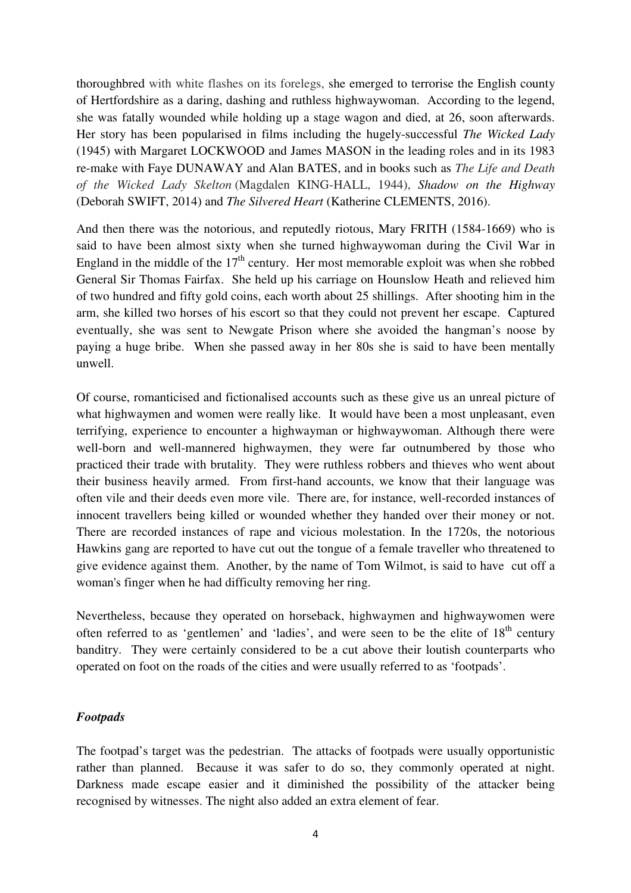thoroughbred with white flashes on its forelegs, she emerged to terrorise the English county of Hertfordshire as a daring, dashing and ruthless highwaywoman. According to the legend, she was fatally wounded while holding up a stage wagon and died, at 26, soon afterwards. Her story has been popularised in films including the hugely-successful *The Wicked Lady* (1945) with Margaret LOCKWOOD and James MASON in the leading roles and in its 1983 re-make with Faye DUNAWAY and Alan BATES, and in books such as *The Life and Death of the Wicked Lady Skelton* (Magdalen KING-HALL, 1944), *Shadow on the Highway*  (Deborah SWIFT, 2014) and *The Silvered Heart* (Katherine CLEMENTS, 2016).

And then there was the notorious, and reputedly riotous, Mary FRITH (1584-1669) who is said to have been almost sixty when she turned highwaywoman during the Civil War in England in the middle of the  $17<sup>th</sup>$  century. Her most memorable exploit was when she robbed General Sir Thomas Fairfax. She held up his carriage on Hounslow Heath and relieved him of two hundred and fifty gold coins, each worth about 25 shillings. After shooting him in the arm, she killed two horses of his escort so that they could not prevent her escape. Captured eventually, she was sent to Newgate Prison where she avoided the hangman's noose by paying a huge bribe. When she passed away in her 80s she is said to have been mentally unwell.

Of course, romanticised and fictionalised accounts such as these give us an unreal picture of what highwaymen and women were really like. It would have been a most unpleasant, even terrifying, experience to encounter a highwayman or highwaywoman. Although there were well-born and well-mannered highwaymen, they were far outnumbered by those who practiced their trade with brutality. They were ruthless robbers and thieves who went about their business heavily armed. From first-hand accounts, we know that their language was often vile and their deeds even more vile. There are, for instance, well-recorded instances of innocent travellers being killed or wounded whether they handed over their money or not. There are recorded instances of rape and vicious molestation. In the 1720s, the notorious Hawkins gang are reported to have cut out the tongue of a female traveller who threatened to give evidence against them. Another, by the name of Tom Wilmot, is said to have cut off a woman's finger when he had difficulty removing her ring.

Nevertheless, because they operated on horseback, highwaymen and highwaywomen were often referred to as 'gentlemen' and 'ladies', and were seen to be the elite of  $18<sup>th</sup>$  century banditry. They were certainly considered to be a cut above their loutish counterparts who operated on foot on the roads of the cities and were usually referred to as 'footpads'.

## *Footpads*

The footpad's target was the pedestrian. The attacks of footpads were usually opportunistic rather than planned. Because it was safer to do so, they commonly operated at night. Darkness made escape easier and it diminished the possibility of the attacker being recognised by witnesses. The night also added an extra element of fear.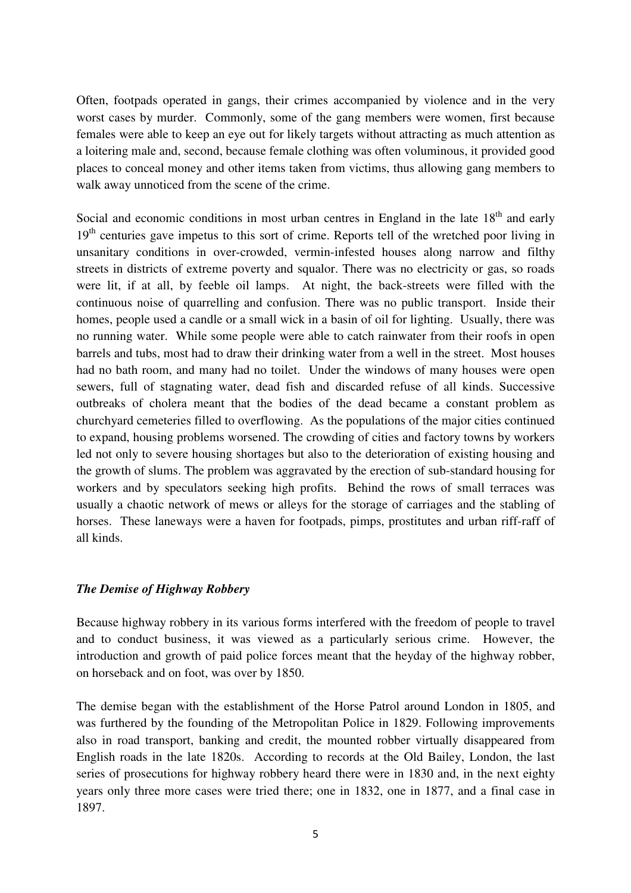Often, footpads operated in gangs, their crimes accompanied by violence and in the very worst cases by murder. Commonly, some of the gang members were women, first because females were able to keep an eye out for likely targets without attracting as much attention as a loitering male and, second, because female clothing was often voluminous, it provided good places to conceal money and other items taken from victims, thus allowing gang members to walk away unnoticed from the scene of the crime.

Social and economic conditions in most urban centres in England in the late  $18<sup>th</sup>$  and early 19<sup>th</sup> centuries gave impetus to this sort of crime. Reports tell of the wretched poor living in unsanitary conditions in over-crowded, vermin-infested houses along narrow and filthy streets in districts of extreme poverty and squalor. There was no electricity or gas, so roads were lit, if at all, by feeble oil lamps. At night, the back-streets were filled with the continuous noise of quarrelling and confusion. There was no public transport. Inside their homes, people used a candle or a small wick in a basin of oil for lighting. Usually, there was no running water. While some people were able to catch rainwater from their roofs in open barrels and tubs, most had to draw their drinking water from a well in the street. Most houses had no bath room, and many had no toilet. Under the windows of many houses were open sewers, full of stagnating water, dead fish and discarded refuse of all kinds. Successive outbreaks of cholera meant that the bodies of the dead became a constant problem as churchyard cemeteries filled to overflowing. As the populations of the major cities continued to expand, housing problems worsened. The crowding of cities and factory towns by workers led not only to severe housing shortages but also to the deterioration of existing housing and the growth of slums. The problem was aggravated by the erection of sub-standard housing for workers and by speculators seeking high profits. Behind the rows of small terraces was usually a chaotic network of mews or alleys for the storage of carriages and the stabling of horses. These laneways were a haven for footpads, pimps, prostitutes and urban riff-raff of all kinds.

### *The Demise of Highway Robbery*

Because highway robbery in its various forms interfered with the freedom of people to travel and to conduct business, it was viewed as a particularly serious crime. However, the introduction and growth of paid police forces meant that the heyday of the highway robber, on horseback and on foot, was over by 1850.

The demise began with the establishment of the Horse Patrol around London in 1805, and was furthered by the founding of the Metropolitan Police in 1829. Following improvements also in road transport, banking and credit, the mounted robber virtually disappeared from English roads in the late 1820s. According to records at the Old Bailey, London, the last series of prosecutions for highway robbery heard there were in 1830 and, in the next eighty years only three more cases were tried there; one in 1832, one in 1877, and a final case in 1897.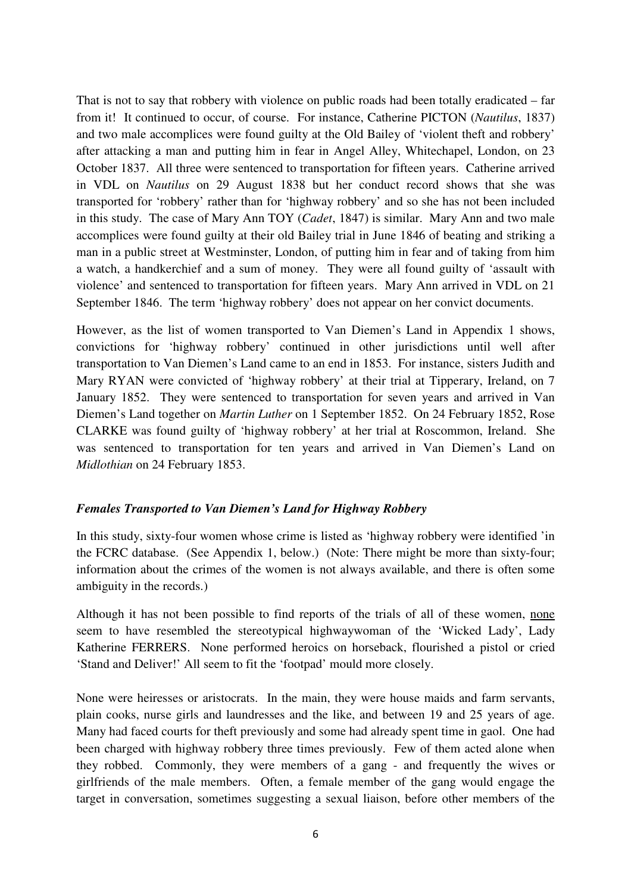That is not to say that robbery with violence on public roads had been totally eradicated – far from it! It continued to occur, of course. For instance, Catherine PICTON (*Nautilus*, 1837) and two male accomplices were found guilty at the Old Bailey of 'violent theft and robbery' after attacking a man and putting him in fear in Angel Alley, Whitechapel, London, on 23 October 1837. All three were sentenced to transportation for fifteen years. Catherine arrived in VDL on *Nautilus* on 29 August 1838 but her conduct record shows that she was transported for 'robbery' rather than for 'highway robbery' and so she has not been included in this study. The case of Mary Ann TOY (*Cadet*, 1847) is similar. Mary Ann and two male accomplices were found guilty at their old Bailey trial in June 1846 of beating and striking a man in a public street at Westminster, London, of putting him in fear and of taking from him a watch, a handkerchief and a sum of money. They were all found guilty of 'assault with violence' and sentenced to transportation for fifteen years. Mary Ann arrived in VDL on 21 September 1846. The term 'highway robbery' does not appear on her convict documents.

However, as the list of women transported to Van Diemen's Land in Appendix 1 shows, convictions for 'highway robbery' continued in other jurisdictions until well after transportation to Van Diemen's Land came to an end in 1853. For instance, sisters Judith and Mary RYAN were convicted of 'highway robbery' at their trial at Tipperary, Ireland, on 7 January 1852. They were sentenced to transportation for seven years and arrived in Van Diemen's Land together on *Martin Luther* on 1 September 1852. On 24 February 1852, Rose CLARKE was found guilty of 'highway robbery' at her trial at Roscommon, Ireland. She was sentenced to transportation for ten years and arrived in Van Diemen's Land on *Midlothian* on 24 February 1853.

## *Females Transported to Van Diemen's Land for Highway Robbery*

In this study, sixty-four women whose crime is listed as 'highway robbery were identified 'in the FCRC database. (See Appendix 1, below.) (Note: There might be more than sixty-four; information about the crimes of the women is not always available, and there is often some ambiguity in the records.)

Although it has not been possible to find reports of the trials of all of these women, none seem to have resembled the stereotypical highwaywoman of the 'Wicked Lady', Lady Katherine FERRERS. None performed heroics on horseback, flourished a pistol or cried 'Stand and Deliver!' All seem to fit the 'footpad' mould more closely.

None were heiresses or aristocrats. In the main, they were house maids and farm servants, plain cooks, nurse girls and laundresses and the like, and between 19 and 25 years of age. Many had faced courts for theft previously and some had already spent time in gaol. One had been charged with highway robbery three times previously. Few of them acted alone when they robbed. Commonly, they were members of a gang - and frequently the wives or girlfriends of the male members. Often, a female member of the gang would engage the target in conversation, sometimes suggesting a sexual liaison, before other members of the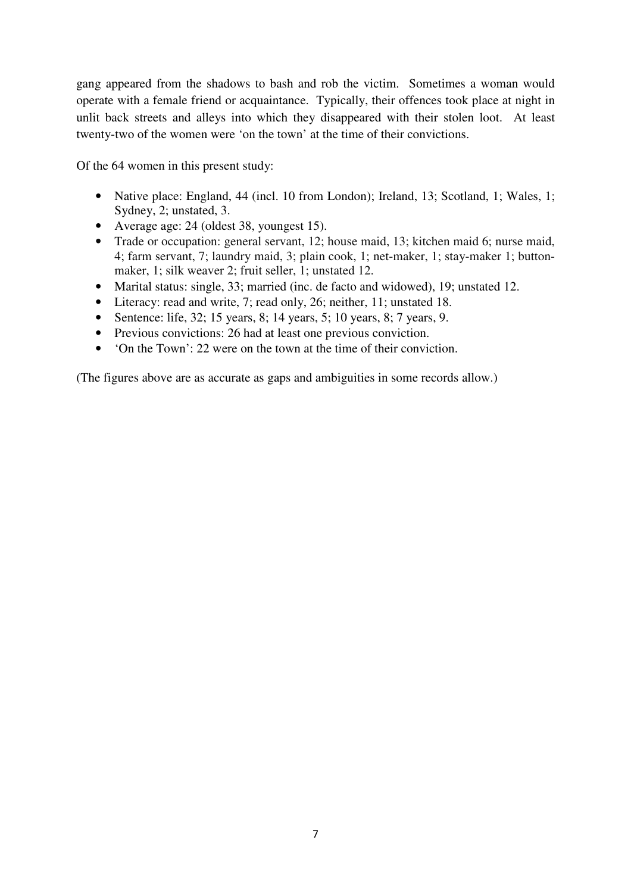gang appeared from the shadows to bash and rob the victim. Sometimes a woman would operate with a female friend or acquaintance. Typically, their offences took place at night in unlit back streets and alleys into which they disappeared with their stolen loot. At least twenty-two of the women were 'on the town' at the time of their convictions.

Of the 64 women in this present study:

- Native place: England, 44 (incl. 10 from London); Ireland, 13; Scotland, 1; Wales, 1; Sydney, 2; unstated, 3.
- Average age: 24 (oldest 38, youngest 15).
- Trade or occupation: general servant, 12; house maid, 13; kitchen maid 6; nurse maid, 4; farm servant, 7; laundry maid, 3; plain cook, 1; net-maker, 1; stay-maker 1; buttonmaker, 1; silk weaver 2; fruit seller, 1; unstated 12.
- Marital status: single, 33; married (inc. de facto and widowed), 19; unstated 12.
- Literacy: read and write, 7; read only, 26; neither, 11; unstated 18.
- Sentence: life, 32; 15 years, 8; 14 years, 5; 10 years, 8; 7 years, 9.
- Previous convictions: 26 had at least one previous conviction.
- 'On the Town': 22 were on the town at the time of their conviction.

(The figures above are as accurate as gaps and ambiguities in some records allow.)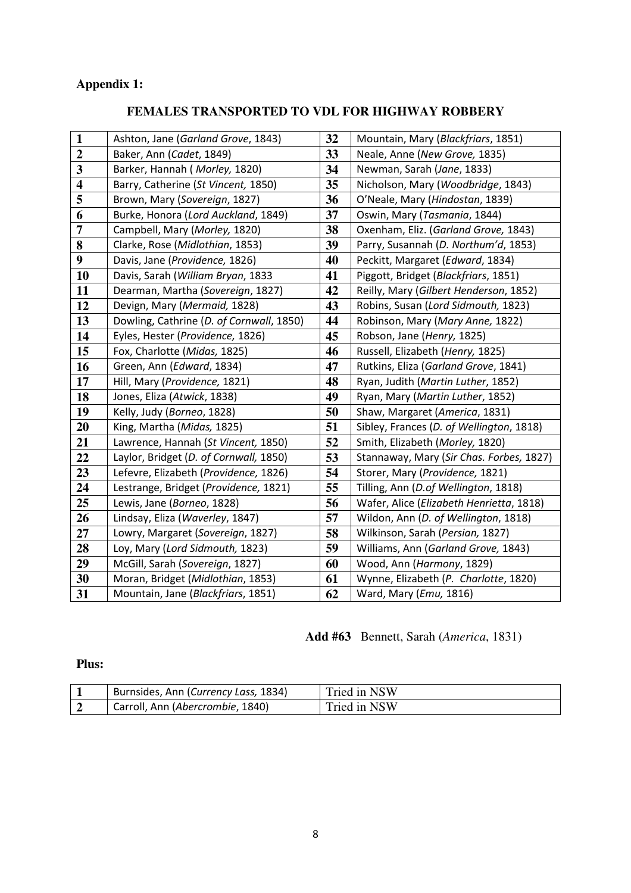# **Appendix 1:**

# **FEMALES TRANSPORTED TO VDL FOR HIGHWAY ROBBERY**

| $\mathbf{1}$            | Ashton, Jane (Garland Grove, 1843)       | 32 | Mountain, Mary (Blackfriars, 1851)       |
|-------------------------|------------------------------------------|----|------------------------------------------|
| $\boldsymbol{2}$        | Baker, Ann (Cadet, 1849)                 | 33 | Neale, Anne (New Grove, 1835)            |
| $\overline{\mathbf{3}}$ | Barker, Hannah (Morley, 1820)            | 34 | Newman, Sarah (Jane, 1833)               |
| $\overline{\mathbf{4}}$ | Barry, Catherine (St Vincent, 1850)      | 35 | Nicholson, Mary (Woodbridge, 1843)       |
| 5                       | Brown, Mary (Sovereign, 1827)            | 36 | O'Neale, Mary (Hindostan, 1839)          |
| 6                       | Burke, Honora (Lord Auckland, 1849)      | 37 | Oswin, Mary (Tasmania, 1844)             |
| $\overline{7}$          | Campbell, Mary (Morley, 1820)            | 38 | Oxenham, Eliz. (Garland Grove, 1843)     |
| 8                       | Clarke, Rose (Midlothian, 1853)          | 39 | Parry, Susannah (D. Northum'd, 1853)     |
| 9                       | Davis, Jane (Providence, 1826)           | 40 | Peckitt, Margaret (Edward, 1834)         |
| 10                      | Davis, Sarah (William Bryan, 1833        | 41 | Piggott, Bridget (Blackfriars, 1851)     |
| 11                      | Dearman, Martha (Sovereign, 1827)        | 42 | Reilly, Mary (Gilbert Henderson, 1852)   |
| 12                      | Devign, Mary (Mermaid, 1828)             | 43 | Robins, Susan (Lord Sidmouth, 1823)      |
| 13                      | Dowling, Cathrine (D. of Cornwall, 1850) | 44 | Robinson, Mary (Mary Anne, 1822)         |
| 14                      | Eyles, Hester (Providence, 1826)         | 45 | Robson, Jane (Henry, 1825)               |
| 15                      | Fox, Charlotte (Midas, 1825)             | 46 | Russell, Elizabeth (Henry, 1825)         |
| 16                      | Green, Ann (Edward, 1834)                | 47 | Rutkins, Eliza (Garland Grove, 1841)     |
| 17                      | Hill, Mary (Providence, 1821)            | 48 | Ryan, Judith (Martin Luther, 1852)       |
| 18                      | Jones, Eliza (Atwick, 1838)              | 49 | Ryan, Mary (Martin Luther, 1852)         |
| 19                      | Kelly, Judy (Borneo, 1828)               | 50 | Shaw, Margaret (America, 1831)           |
| 20                      | King, Martha (Midas, 1825)               | 51 | Sibley, Frances (D. of Wellington, 1818) |
| 21                      | Lawrence, Hannah (St Vincent, 1850)      | 52 | Smith, Elizabeth (Morley, 1820)          |
| 22                      | Laylor, Bridget (D. of Cornwall, 1850)   | 53 | Stannaway, Mary (Sir Chas. Forbes, 1827) |
| 23                      | Lefevre, Elizabeth (Providence, 1826)    | 54 | Storer, Mary (Providence, 1821)          |
| 24                      | Lestrange, Bridget (Providence, 1821)    | 55 | Tilling, Ann (D.of Wellington, 1818)     |
| 25                      | Lewis, Jane (Borneo, 1828)               | 56 | Wafer, Alice (Elizabeth Henrietta, 1818) |
| 26                      | Lindsay, Eliza (Waverley, 1847)          | 57 | Wildon, Ann (D. of Wellington, 1818)     |
| 27                      | Lowry, Margaret (Sovereign, 1827)        | 58 | Wilkinson, Sarah (Persian, 1827)         |
| 28                      | Loy, Mary (Lord Sidmouth, 1823)          | 59 | Williams, Ann (Garland Grove, 1843)      |
| 29                      | McGill, Sarah (Sovereign, 1827)          | 60 | Wood, Ann (Harmony, 1829)                |
| 30                      | Moran, Bridget (Midlothian, 1853)        | 61 | Wynne, Elizabeth (P. Charlotte, 1820)    |
| 31                      | Mountain, Jane (Blackfriars, 1851)       | 62 | Ward, Mary (Emu, 1816)                   |

# **Add #63** Bennett, Sarah (*America*, 1831)

## **Plus:**

| Burnsides, Ann (Currency Lass, 1834) | Tried in NSW |
|--------------------------------------|--------------|
| Carroll, Ann (Abercrombie, 1840)     | Tried in NSW |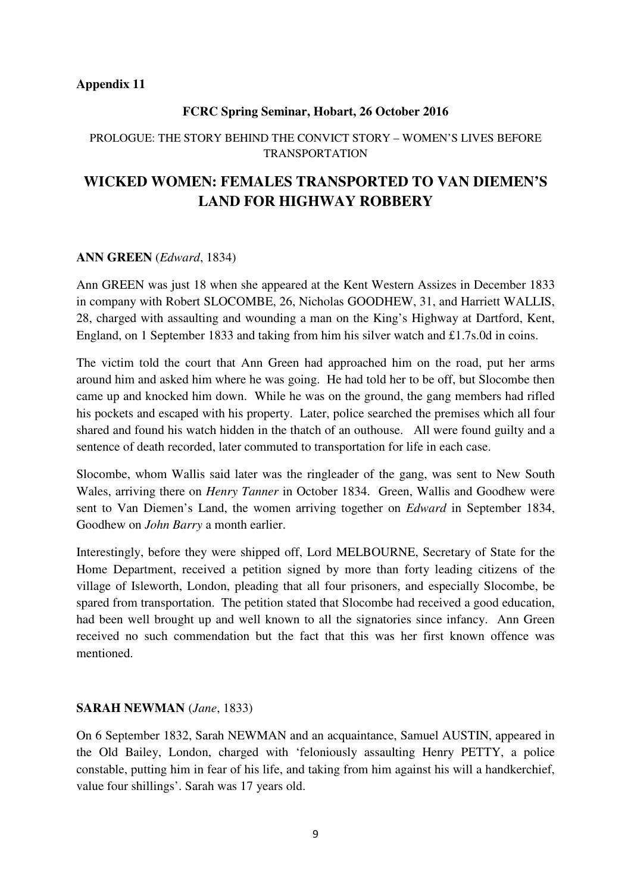### **Appendix 11**

### **FCRC Spring Seminar, Hobart, 26 October 2016**

### PROLOGUE: THE STORY BEHIND THE CONVICT STORY – WOMEN'S LIVES BEFORE TRANSPORTATION

# **WICKED WOMEN: FEMALES TRANSPORTED TO VAN DIEMEN'S LAND FOR HIGHWAY ROBBERY**

### **ANN GREEN** (*Edward*, 1834)

Ann GREEN was just 18 when she appeared at the Kent Western Assizes in December 1833 in company with Robert SLOCOMBE, 26, Nicholas GOODHEW, 31, and Harriett WALLIS, 28, charged with assaulting and wounding a man on the King's Highway at Dartford, Kent, England, on 1 September 1833 and taking from him his silver watch and £1.7s.0d in coins.

The victim told the court that Ann Green had approached him on the road, put her arms around him and asked him where he was going. He had told her to be off, but Slocombe then came up and knocked him down. While he was on the ground, the gang members had rifled his pockets and escaped with his property. Later, police searched the premises which all four shared and found his watch hidden in the thatch of an outhouse. All were found guilty and a sentence of death recorded, later commuted to transportation for life in each case.

Slocombe, whom Wallis said later was the ringleader of the gang, was sent to New South Wales, arriving there on *Henry Tanner* in October 1834. Green, Wallis and Goodhew were sent to Van Diemen's Land, the women arriving together on *Edward* in September 1834, Goodhew on *John Barry* a month earlier.

Interestingly, before they were shipped off, Lord MELBOURNE, Secretary of State for the Home Department, received a petition signed by more than forty leading citizens of the village of Isleworth, London, pleading that all four prisoners, and especially Slocombe, be spared from transportation. The petition stated that Slocombe had received a good education, had been well brought up and well known to all the signatories since infancy. Ann Green received no such commendation but the fact that this was her first known offence was mentioned.

### **SARAH NEWMAN** (*Jane*, 1833)

On 6 September 1832, Sarah NEWMAN and an acquaintance, Samuel AUSTIN, appeared in the Old Bailey, London, charged with 'feloniously assaulting Henry PETTY, a police constable, putting him in fear of his life, and taking from him against his will a handkerchief, value four shillings'. Sarah was 17 years old.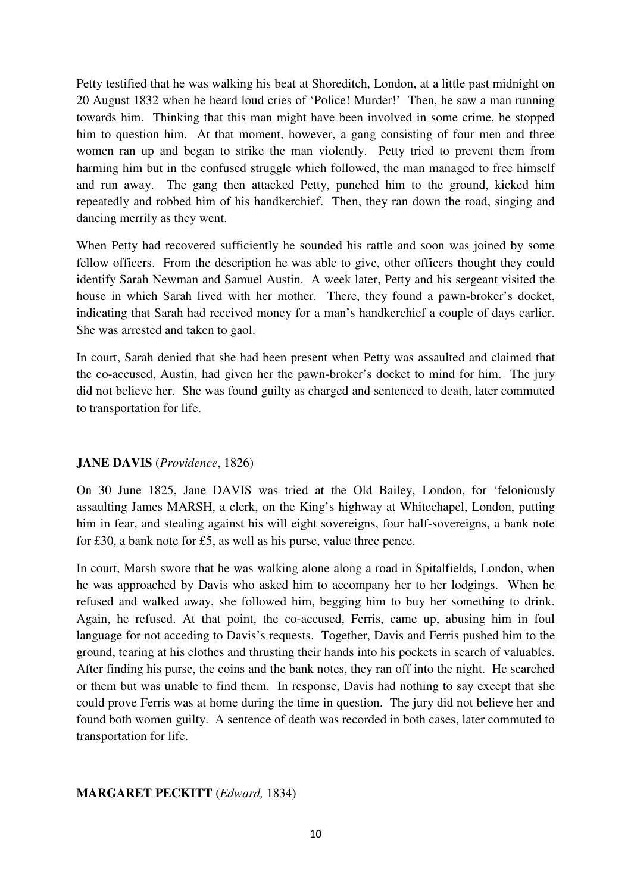Petty testified that he was walking his beat at Shoreditch, London, at a little past midnight on 20 August 1832 when he heard loud cries of 'Police! Murder!' Then, he saw a man running towards him. Thinking that this man might have been involved in some crime, he stopped him to question him. At that moment, however, a gang consisting of four men and three women ran up and began to strike the man violently. Petty tried to prevent them from harming him but in the confused struggle which followed, the man managed to free himself and run away. The gang then attacked Petty, punched him to the ground, kicked him repeatedly and robbed him of his handkerchief. Then, they ran down the road, singing and dancing merrily as they went.

When Petty had recovered sufficiently he sounded his rattle and soon was joined by some fellow officers. From the description he was able to give, other officers thought they could identify Sarah Newman and Samuel Austin. A week later, Petty and his sergeant visited the house in which Sarah lived with her mother. There, they found a pawn-broker's docket, indicating that Sarah had received money for a man's handkerchief a couple of days earlier. She was arrested and taken to gaol.

In court, Sarah denied that she had been present when Petty was assaulted and claimed that the co-accused, Austin, had given her the pawn-broker's docket to mind for him. The jury did not believe her. She was found guilty as charged and sentenced to death, later commuted to transportation for life.

## **JANE DAVIS** (*Providence*, 1826)

On 30 June 1825, Jane DAVIS was tried at the Old Bailey, London, for 'feloniously assaulting James MARSH, a clerk, on the King's highway at Whitechapel, London, putting him in fear, and stealing against his will eight sovereigns, four half-sovereigns, a bank note for £30, a bank note for £5, as well as his purse, value three pence.

In court, Marsh swore that he was walking alone along a road in Spitalfields, London, when he was approached by Davis who asked him to accompany her to her lodgings. When he refused and walked away, she followed him, begging him to buy her something to drink. Again, he refused. At that point, the co-accused, Ferris, came up, abusing him in foul language for not acceding to Davis's requests. Together, Davis and Ferris pushed him to the ground, tearing at his clothes and thrusting their hands into his pockets in search of valuables. After finding his purse, the coins and the bank notes, they ran off into the night. He searched or them but was unable to find them. In response, Davis had nothing to say except that she could prove Ferris was at home during the time in question. The jury did not believe her and found both women guilty. A sentence of death was recorded in both cases, later commuted to transportation for life.

## **MARGARET PECKITT** (*Edward,* 1834)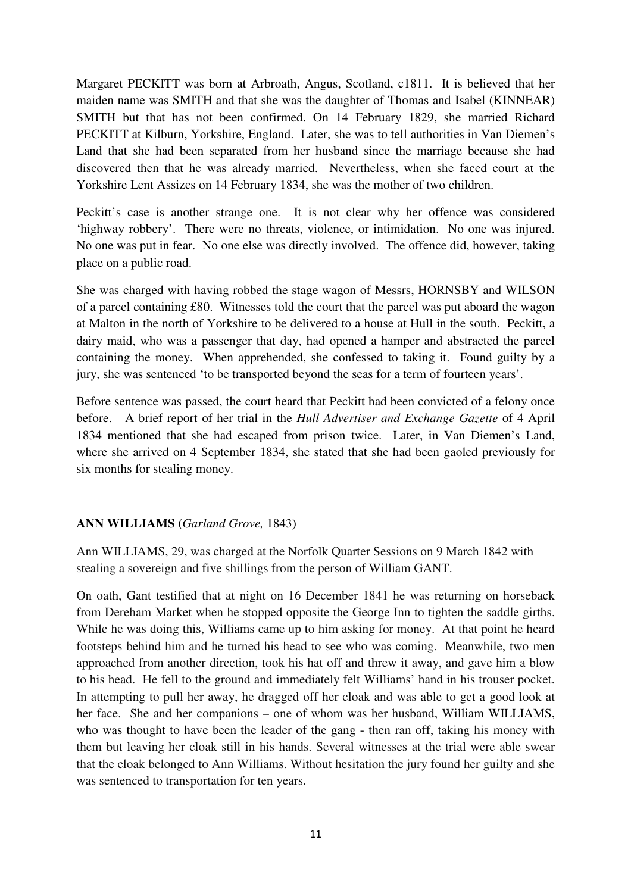Margaret PECKITT was born at Arbroath, Angus, Scotland, c1811. It is believed that her maiden name was SMITH and that she was the daughter of Thomas and Isabel (KINNEAR) SMITH but that has not been confirmed. On 14 February 1829, she married Richard PECKITT at Kilburn, Yorkshire, England. Later, she was to tell authorities in Van Diemen's Land that she had been separated from her husband since the marriage because she had discovered then that he was already married. Nevertheless, when she faced court at the Yorkshire Lent Assizes on 14 February 1834, she was the mother of two children.

Peckitt's case is another strange one. It is not clear why her offence was considered 'highway robbery'. There were no threats, violence, or intimidation. No one was injured. No one was put in fear. No one else was directly involved. The offence did, however, taking place on a public road.

She was charged with having robbed the stage wagon of Messrs, HORNSBY and WILSON of a parcel containing £80. Witnesses told the court that the parcel was put aboard the wagon at Malton in the north of Yorkshire to be delivered to a house at Hull in the south. Peckitt, a dairy maid, who was a passenger that day, had opened a hamper and abstracted the parcel containing the money. When apprehended, she confessed to taking it. Found guilty by a jury, she was sentenced 'to be transported beyond the seas for a term of fourteen years'.

Before sentence was passed, the court heard that Peckitt had been convicted of a felony once before. A brief report of her trial in the *Hull Advertiser and Exchange Gazette* of 4 April 1834 mentioned that she had escaped from prison twice. Later, in Van Diemen's Land, where she arrived on 4 September 1834, she stated that she had been gaoled previously for six months for stealing money.

## **ANN WILLIAMS (***Garland Grove,* 1843)

Ann WILLIAMS, 29, was charged at the Norfolk Quarter Sessions on 9 March 1842 with stealing a sovereign and five shillings from the person of William GANT.

On oath, Gant testified that at night on 16 December 1841 he was returning on horseback from Dereham Market when he stopped opposite the George Inn to tighten the saddle girths. While he was doing this, Williams came up to him asking for money. At that point he heard footsteps behind him and he turned his head to see who was coming. Meanwhile, two men approached from another direction, took his hat off and threw it away, and gave him a blow to his head. He fell to the ground and immediately felt Williams' hand in his trouser pocket. In attempting to pull her away, he dragged off her cloak and was able to get a good look at her face. She and her companions – one of whom was her husband, William WILLIAMS, who was thought to have been the leader of the gang - then ran off, taking his money with them but leaving her cloak still in his hands. Several witnesses at the trial were able swear that the cloak belonged to Ann Williams. Without hesitation the jury found her guilty and she was sentenced to transportation for ten years.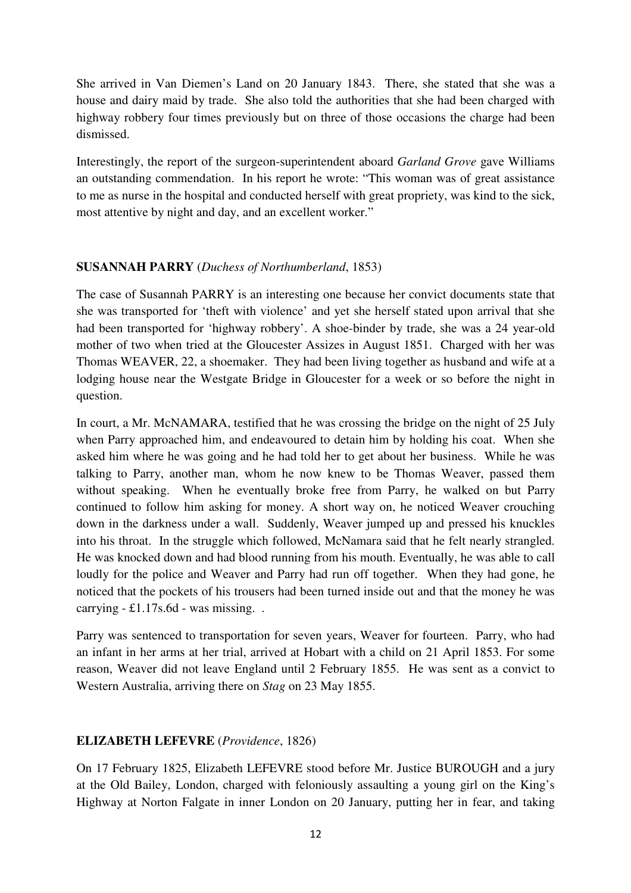She arrived in Van Diemen's Land on 20 January 1843. There, she stated that she was a house and dairy maid by trade. She also told the authorities that she had been charged with highway robbery four times previously but on three of those occasions the charge had been dismissed.

Interestingly, the report of the surgeon-superintendent aboard *Garland Grove* gave Williams an outstanding commendation. In his report he wrote: "This woman was of great assistance to me as nurse in the hospital and conducted herself with great propriety, was kind to the sick, most attentive by night and day, and an excellent worker."

### **SUSANNAH PARRY** (*Duchess of Northumberland*, 1853)

The case of Susannah PARRY is an interesting one because her convict documents state that she was transported for 'theft with violence' and yet she herself stated upon arrival that she had been transported for 'highway robbery'. A shoe-binder by trade, she was a 24 year-old mother of two when tried at the Gloucester Assizes in August 1851. Charged with her was Thomas WEAVER, 22, a shoemaker. They had been living together as husband and wife at a lodging house near the Westgate Bridge in Gloucester for a week or so before the night in question.

In court, a Mr. McNAMARA, testified that he was crossing the bridge on the night of 25 July when Parry approached him, and endeavoured to detain him by holding his coat. When she asked him where he was going and he had told her to get about her business. While he was talking to Parry, another man, whom he now knew to be Thomas Weaver, passed them without speaking. When he eventually broke free from Parry, he walked on but Parry continued to follow him asking for money. A short way on, he noticed Weaver crouching down in the darkness under a wall. Suddenly, Weaver jumped up and pressed his knuckles into his throat. In the struggle which followed, McNamara said that he felt nearly strangled. He was knocked down and had blood running from his mouth. Eventually, he was able to call loudly for the police and Weaver and Parry had run off together. When they had gone, he noticed that the pockets of his trousers had been turned inside out and that the money he was carrying  $-$  £1.17s.6d - was missing...

Parry was sentenced to transportation for seven years, Weaver for fourteen. Parry, who had an infant in her arms at her trial, arrived at Hobart with a child on 21 April 1853. For some reason, Weaver did not leave England until 2 February 1855. He was sent as a convict to Western Australia, arriving there on *Stag* on 23 May 1855.

## **ELIZABETH LEFEVRE** (*Providence*, 1826)

On 17 February 1825, Elizabeth LEFEVRE stood before Mr. Justice BUROUGH and a jury at the Old Bailey, London, charged with feloniously assaulting a young girl on the King's Highway at Norton Falgate in inner London on 20 January, putting her in fear, and taking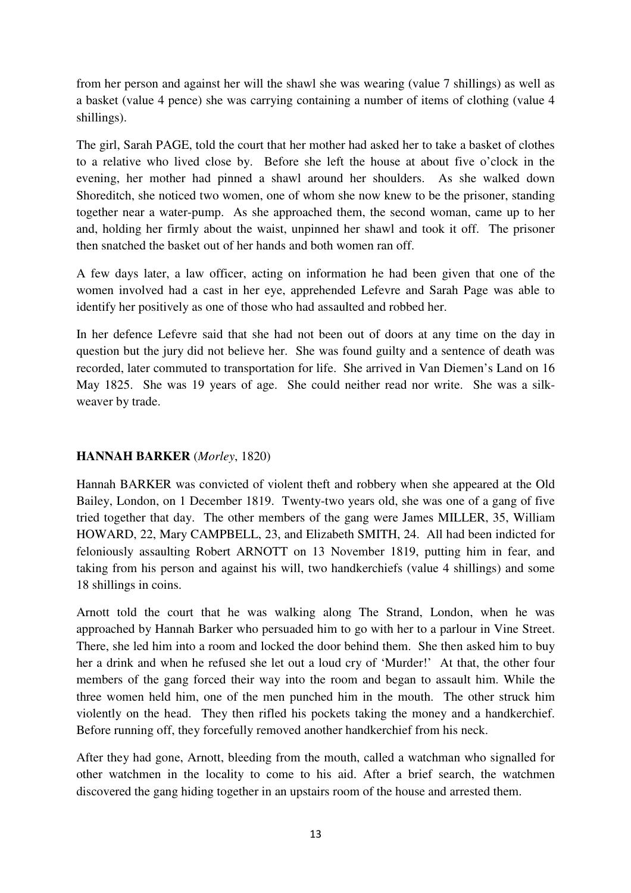from her person and against her will the shawl she was wearing (value 7 shillings) as well as a basket (value 4 pence) she was carrying containing a number of items of clothing (value 4 shillings).

The girl, Sarah PAGE, told the court that her mother had asked her to take a basket of clothes to a relative who lived close by. Before she left the house at about five o'clock in the evening, her mother had pinned a shawl around her shoulders. As she walked down Shoreditch, she noticed two women, one of whom she now knew to be the prisoner, standing together near a water-pump. As she approached them, the second woman, came up to her and, holding her firmly about the waist, unpinned her shawl and took it off. The prisoner then snatched the basket out of her hands and both women ran off.

A few days later, a law officer, acting on information he had been given that one of the women involved had a cast in her eye, apprehended Lefevre and Sarah Page was able to identify her positively as one of those who had assaulted and robbed her.

In her defence Lefevre said that she had not been out of doors at any time on the day in question but the jury did not believe her. She was found guilty and a sentence of death was recorded, later commuted to transportation for life. She arrived in Van Diemen's Land on 16 May 1825. She was 19 years of age. She could neither read nor write. She was a silkweaver by trade.

## **HANNAH BARKER** (*Morley*, 1820)

Hannah BARKER was convicted of violent theft and robbery when she appeared at the Old Bailey, London, on 1 December 1819. Twenty-two years old, she was one of a gang of five tried together that day. The other members of the gang were James MILLER, 35, William HOWARD, 22, Mary CAMPBELL, 23, and Elizabeth SMITH, 24. All had been indicted for feloniously assaulting Robert ARNOTT on 13 November 1819, putting him in fear, and taking from his person and against his will, two handkerchiefs (value 4 shillings) and some 18 shillings in coins.

Arnott told the court that he was walking along The Strand, London, when he was approached by Hannah Barker who persuaded him to go with her to a parlour in Vine Street. There, she led him into a room and locked the door behind them. She then asked him to buy her a drink and when he refused she let out a loud cry of 'Murder!' At that, the other four members of the gang forced their way into the room and began to assault him. While the three women held him, one of the men punched him in the mouth. The other struck him violently on the head. They then rifled his pockets taking the money and a handkerchief. Before running off, they forcefully removed another handkerchief from his neck.

After they had gone, Arnott, bleeding from the mouth, called a watchman who signalled for other watchmen in the locality to come to his aid. After a brief search, the watchmen discovered the gang hiding together in an upstairs room of the house and arrested them.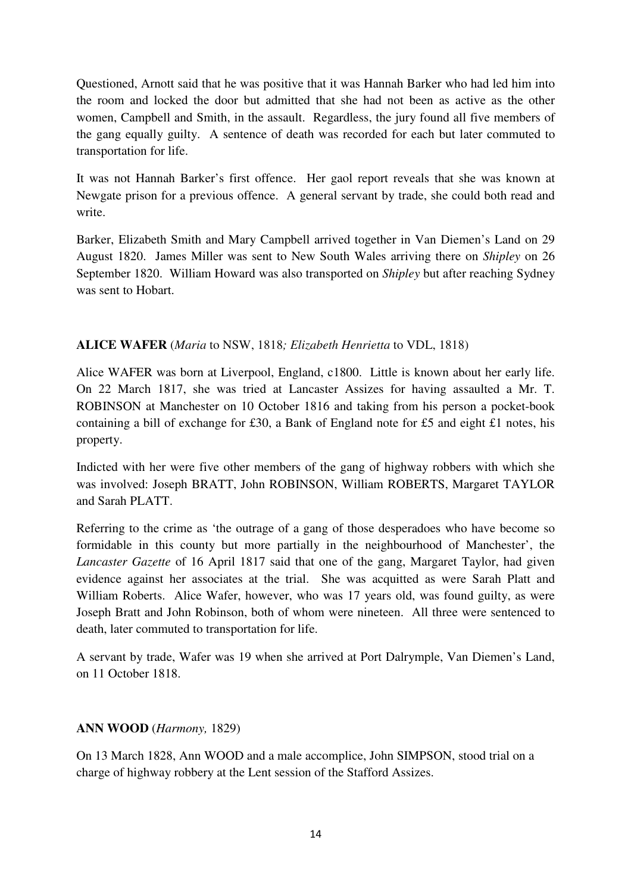Questioned, Arnott said that he was positive that it was Hannah Barker who had led him into the room and locked the door but admitted that she had not been as active as the other women, Campbell and Smith, in the assault. Regardless, the jury found all five members of the gang equally guilty. A sentence of death was recorded for each but later commuted to transportation for life.

It was not Hannah Barker's first offence. Her gaol report reveals that she was known at Newgate prison for a previous offence. A general servant by trade, she could both read and write.

Barker, Elizabeth Smith and Mary Campbell arrived together in Van Diemen's Land on 29 August 1820. James Miller was sent to New South Wales arriving there on *Shipley* on 26 September 1820. William Howard was also transported on *Shipley* but after reaching Sydney was sent to Hobart.

## **ALICE WAFER** (*Maria* to NSW, 1818*; Elizabeth Henrietta* to VDL, 1818)

Alice WAFER was born at Liverpool, England, c1800. Little is known about her early life. On 22 March 1817, she was tried at Lancaster Assizes for having assaulted a Mr. T. ROBINSON at Manchester on 10 October 1816 and taking from his person a pocket-book containing a bill of exchange for £30, a Bank of England note for £5 and eight £1 notes, his property.

Indicted with her were five other members of the gang of highway robbers with which she was involved: Joseph BRATT, John ROBINSON, William ROBERTS, Margaret TAYLOR and Sarah PLATT.

Referring to the crime as 'the outrage of a gang of those desperadoes who have become so formidable in this county but more partially in the neighbourhood of Manchester', the *Lancaster Gazette* of 16 April 1817 said that one of the gang, Margaret Taylor, had given evidence against her associates at the trial. She was acquitted as were Sarah Platt and William Roberts. Alice Wafer, however, who was 17 years old, was found guilty, as were Joseph Bratt and John Robinson, both of whom were nineteen. All three were sentenced to death, later commuted to transportation for life.

A servant by trade, Wafer was 19 when she arrived at Port Dalrymple, Van Diemen's Land, on 11 October 1818.

## **ANN WOOD** (*Harmony,* 1829)

On 13 March 1828, Ann WOOD and a male accomplice, John SIMPSON, stood trial on a charge of highway robbery at the Lent session of the Stafford Assizes.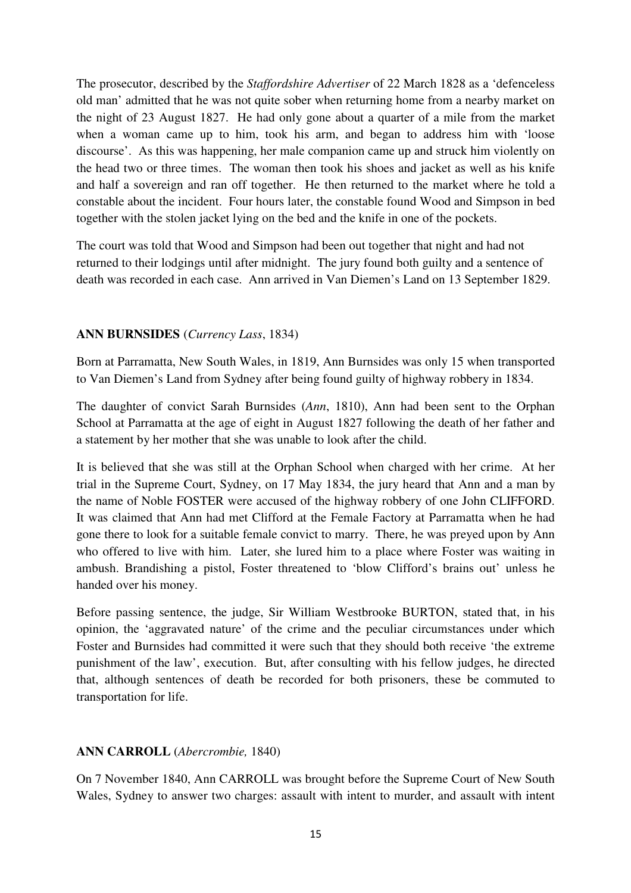The prosecutor, described by the *Staffordshire Advertiser* of 22 March 1828 as a 'defenceless old man' admitted that he was not quite sober when returning home from a nearby market on the night of 23 August 1827. He had only gone about a quarter of a mile from the market when a woman came up to him, took his arm, and began to address him with 'loose discourse'. As this was happening, her male companion came up and struck him violently on the head two or three times. The woman then took his shoes and jacket as well as his knife and half a sovereign and ran off together. He then returned to the market where he told a constable about the incident. Four hours later, the constable found Wood and Simpson in bed together with the stolen jacket lying on the bed and the knife in one of the pockets.

The court was told that Wood and Simpson had been out together that night and had not returned to their lodgings until after midnight. The jury found both guilty and a sentence of death was recorded in each case. Ann arrived in Van Diemen's Land on 13 September 1829.

### **ANN BURNSIDES** (*Currency Lass*, 1834)

Born at Parramatta, New South Wales, in 1819, Ann Burnsides was only 15 when transported to Van Diemen's Land from Sydney after being found guilty of highway robbery in 1834.

The daughter of convict Sarah Burnsides (*Ann*, 1810), Ann had been sent to the Orphan School at Parramatta at the age of eight in August 1827 following the death of her father and a statement by her mother that she was unable to look after the child.

It is believed that she was still at the Orphan School when charged with her crime. At her trial in the Supreme Court, Sydney, on 17 May 1834, the jury heard that Ann and a man by the name of Noble FOSTER were accused of the highway robbery of one John CLIFFORD. It was claimed that Ann had met Clifford at the Female Factory at Parramatta when he had gone there to look for a suitable female convict to marry. There, he was preyed upon by Ann who offered to live with him. Later, she lured him to a place where Foster was waiting in ambush. Brandishing a pistol, Foster threatened to 'blow Clifford's brains out' unless he handed over his money.

Before passing sentence, the judge, Sir William Westbrooke BURTON, stated that, in his opinion, the 'aggravated nature' of the crime and the peculiar circumstances under which Foster and Burnsides had committed it were such that they should both receive 'the extreme punishment of the law', execution. But, after consulting with his fellow judges, he directed that, although sentences of death be recorded for both prisoners, these be commuted to transportation for life.

## **ANN CARROLL** (*Abercrombie,* 1840)

On 7 November 1840, Ann CARROLL was brought before the Supreme Court of New South Wales, Sydney to answer two charges: assault with intent to murder, and assault with intent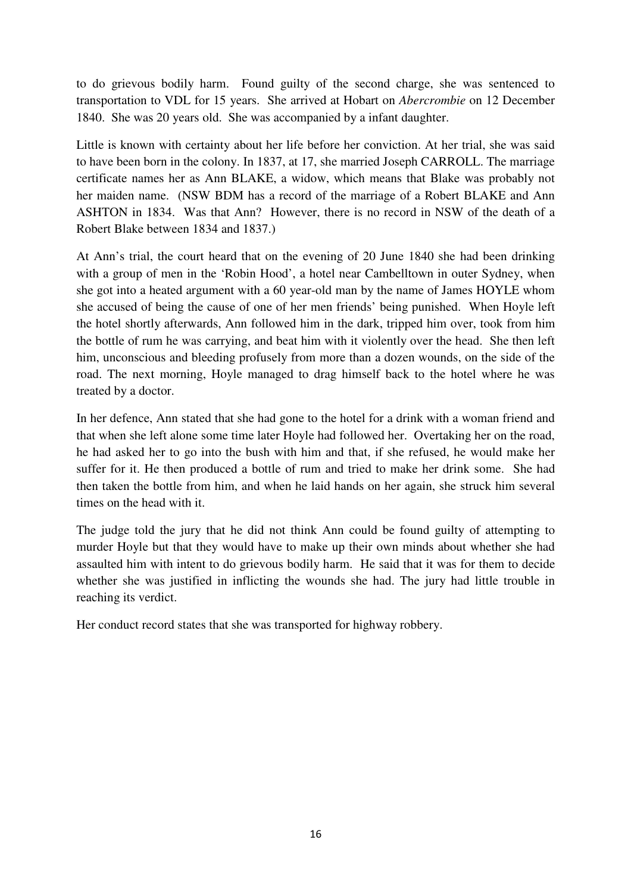to do grievous bodily harm. Found guilty of the second charge, she was sentenced to transportation to VDL for 15 years. She arrived at Hobart on *Abercrombie* on 12 December 1840. She was 20 years old. She was accompanied by a infant daughter.

Little is known with certainty about her life before her conviction. At her trial, she was said to have been born in the colony. In 1837, at 17, she married Joseph CARROLL. The marriage certificate names her as Ann BLAKE, a widow, which means that Blake was probably not her maiden name. (NSW BDM has a record of the marriage of a Robert BLAKE and Ann ASHTON in 1834. Was that Ann? However, there is no record in NSW of the death of a Robert Blake between 1834 and 1837.)

At Ann's trial, the court heard that on the evening of 20 June 1840 she had been drinking with a group of men in the 'Robin Hood', a hotel near Cambelltown in outer Sydney, when she got into a heated argument with a 60 year-old man by the name of James HOYLE whom she accused of being the cause of one of her men friends' being punished. When Hoyle left the hotel shortly afterwards, Ann followed him in the dark, tripped him over, took from him the bottle of rum he was carrying, and beat him with it violently over the head. She then left him, unconscious and bleeding profusely from more than a dozen wounds, on the side of the road. The next morning, Hoyle managed to drag himself back to the hotel where he was treated by a doctor.

In her defence, Ann stated that she had gone to the hotel for a drink with a woman friend and that when she left alone some time later Hoyle had followed her. Overtaking her on the road, he had asked her to go into the bush with him and that, if she refused, he would make her suffer for it. He then produced a bottle of rum and tried to make her drink some. She had then taken the bottle from him, and when he laid hands on her again, she struck him several times on the head with it.

The judge told the jury that he did not think Ann could be found guilty of attempting to murder Hoyle but that they would have to make up their own minds about whether she had assaulted him with intent to do grievous bodily harm. He said that it was for them to decide whether she was justified in inflicting the wounds she had. The jury had little trouble in reaching its verdict.

Her conduct record states that she was transported for highway robbery.